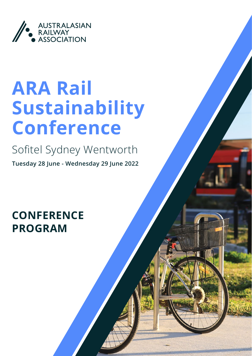

# ARA Rail Sustainability Conference

Sofitel Sydney Wentworth

**Tuesday 28 June - Wednesday 29 June 2022**

**CONFERENCE** PROGRAM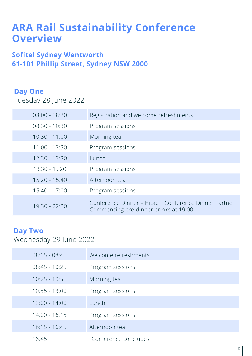# ARA Rail Sustainability Conference **Overview**

## Sofitel Sydney Wentworth 61-101 Phillip Street, Sydney NSW 2000

## Day One

Tuesday 28 June 2022

| $08:00 - 08:30$ | Registration and welcome refreshments                                                          |
|-----------------|------------------------------------------------------------------------------------------------|
| $08:30 - 10:30$ | Program sessions                                                                               |
| $10:30 - 11:00$ | Morning tea                                                                                    |
| $11:00 - 12:30$ | Program sessions                                                                               |
| $12:30 - 13:30$ | Lunch                                                                                          |
| $13:30 - 15:20$ | Program sessions                                                                               |
| $15:20 - 15:40$ | Afternoon tea                                                                                  |
| $15:40 - 17:00$ | Program sessions                                                                               |
| $19:30 - 22:30$ | Conference Dinner – Hitachi Conference Dinner Partner<br>Commencing pre-dinner drinks at 19:00 |

## Day Two

Wednesday 29 June 2022

| $08:15 - 08:45$ | Welcome refreshments |
|-----------------|----------------------|
| $08:45 - 10:25$ | Program sessions     |
| $10:25 - 10:55$ | Morning tea          |
| $10:55 - 13:00$ | Program sessions     |
| $13:00 - 14:00$ | Lunch                |
| $14:00 - 16:15$ | Program sessions     |
| $16:15 - 16:45$ | Afternoon tea        |
| 16:45           | Conference concludes |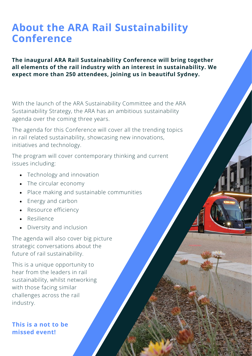# About the ARA Rail Sustainability Conference

#### The inaugural ARA Rail Sustainability Conference will bring together all elements of the rail industry with an interest in sustainability. We expect more than 250 attendees, joining us in beautiful Sydney.

With the launch of the ARA Sustainability Committee and the ARA Sustainability Strategy, the ARA has an ambitious sustainability agenda over the coming three years.

The agenda for this Conference will cover all the trending topics in rail related sustainability, showcasing new innovations, initiatives and technology.

The program will cover contemporary thinking and current issues including:

- Technology and innovation
- The circular economy
- • Place making and sustainable communities
- Energy and carbon
- Resource efficiency
- • Resilience
- • Diversity and inclusion

The agenda will also cover big picture strategic conversations about the future of rail sustainability.

This is a unique opportunity to hear from the leaders in rail sustainability, whilst networking with those facing similar challenges across the rail industry.

### This is a not to be missed event!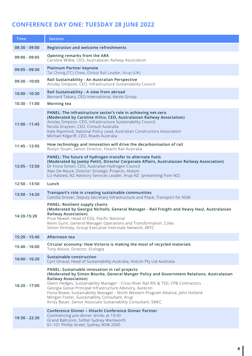## CONFERENCE DAY ONE: TUESDAY 28 JUNE 2022

| Time            | <b>Session</b>                                                                                                                                                                                                                                                                                                                                                                                                                                                                                                                        |  |  |
|-----------------|---------------------------------------------------------------------------------------------------------------------------------------------------------------------------------------------------------------------------------------------------------------------------------------------------------------------------------------------------------------------------------------------------------------------------------------------------------------------------------------------------------------------------------------|--|--|
| $08:30 - 09:00$ | Registration and welcome refreshments                                                                                                                                                                                                                                                                                                                                                                                                                                                                                                 |  |  |
| $09:00 - 09:05$ | Opening remarks from the ARA<br>Caroline Wilkie, CEO, Australasian Railway Association                                                                                                                                                                                                                                                                                                                                                                                                                                                |  |  |
| $09:05 - 09:30$ | Platinum Partner keynote<br>Tai Chong (TC) Chew, Global Rail Leader, Arup (UK)                                                                                                                                                                                                                                                                                                                                                                                                                                                        |  |  |
| $09:30 - 10:00$ | Rail Sustainability - An Australian Perspective<br>Ainsley Simpson, CEO, Infrastructure Sustainability Council                                                                                                                                                                                                                                                                                                                                                                                                                        |  |  |
| $10:00 - 10:30$ | Rail Sustainability - A view from abroad<br>Bernard Tabary, CEO International, Keolis Group                                                                                                                                                                                                                                                                                                                                                                                                                                           |  |  |
| $10:30 - 11:00$ | Morning tea                                                                                                                                                                                                                                                                                                                                                                                                                                                                                                                           |  |  |
| $11:00 - 11:45$ | PANEL: The infrastructure sector's role in achieving net-zero<br>(Moderated by Caroline Wilkie, CEO, Australasian Railway Association)<br>Ainsley Simpson, CEO, Infrastructure Sustainability Council<br>Nicola Grayson, CEO, Consult Australia<br>Kate Raymond, National Policy Lead, Australian Constructors Association<br>Michael Kilgariff, CEO, Roads Australia                                                                                                                                                                 |  |  |
| 11:45 - 12:05   | How technology and innovation will drive the decarbonisation of rail<br>Roslyn Stuart, Senior Director, Hitachi Rail Australia                                                                                                                                                                                                                                                                                                                                                                                                        |  |  |
| 12:05 - 12:50   | PANEL: The future of hydrogen transfer to alternate fuels<br>(Moderated by Joeley Pettit, Director Corporate Affairs, Australasian Railway Association)<br>Dr Fiona Simon, CEO, Australian Hydrogen Council<br>Alan De-Reuck, Director Strategic Projects, Alstom<br>Liz Halsted, NZ Advisory Services Leader, Arup NZ (presenting from NZ)                                                                                                                                                                                           |  |  |
| 12:50 - 13:50   | Lunch                                                                                                                                                                                                                                                                                                                                                                                                                                                                                                                                 |  |  |
| 13:50 - 14:20   | Transport's role in creating sustainable communities<br>Camilla Drover, Deputy Secretary Infrastructure and Place, Transport for NSW                                                                                                                                                                                                                                                                                                                                                                                                  |  |  |
| 14:20-15:20     | <b>PANEL: Resilient supply chains</b><br>(Moderated by Georgia Nicholls, General Manager - Rail Freight and Heavy Haul, Australasian<br><b>Railway Association)</b><br>Prue Newall, Head of ESG, Pacific National<br>Kevin Gunn, General Manager Operations and Transformation, Coles<br>Simon Ormsby, Group Executive Interstate Network, ARTC                                                                                                                                                                                       |  |  |
| 15:20 - 15:40   | Afternoon tea                                                                                                                                                                                                                                                                                                                                                                                                                                                                                                                         |  |  |
| 15:40 - 16:00   | Circular economy: How Victoria is making the most of recycled materials<br>Tony Aloisio, Director, Ecologiq                                                                                                                                                                                                                                                                                                                                                                                                                           |  |  |
| $16:00 - 16:20$ | Sustainable construction<br>Cyril Giraud, Head of Sustainability Australia, Holcim Pty Ltd Australia                                                                                                                                                                                                                                                                                                                                                                                                                                  |  |  |
| 16:20 - 17:00   | PANEL: Sustainable innovation in rail projects<br>(Moderated by Simon Bourke, General Manger Policy and Government Relations, Australasian<br><b>Railway Association)</b><br>Glenn Hedges, Sustainability Manager - Cross River Rail RIS & TSD, CPB Contractors<br>Georgia Gosse Principal Infrastructure Advisory, Aurecon<br>Fiona Bowie, Sustainability Manager - North Western Program Alliance, John Holland<br>Morgan Foster, Sustainability Consultant, Arup<br>Kirsty Bauer, Senior Associate Sustainability Consultant, SMEC |  |  |
| 19:30 - 22:30   | Conference Dinner - Hitachi Conference Dinner Partner<br>Commencing pre-dinner drinks at 19:00<br>Grand Ballroom, Sofitel Sydney Wentworth<br>61-101 Phillip Street, Sydney NSW 2000                                                                                                                                                                                                                                                                                                                                                  |  |  |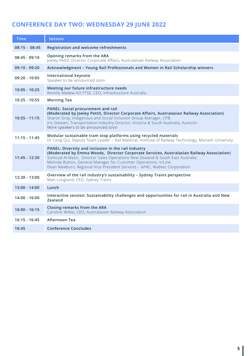## CONFERENCE DAY TWO: WEDNESDAY 29 JUNE 2022

| <b>Time</b>     | <b>Session</b>                                                                                                                                                                                                                                                                                                                                                                   |
|-----------------|----------------------------------------------------------------------------------------------------------------------------------------------------------------------------------------------------------------------------------------------------------------------------------------------------------------------------------------------------------------------------------|
| $08:15 - 08:45$ | Registration and welcome refreshments                                                                                                                                                                                                                                                                                                                                            |
| $08:45 - 09:10$ | Opening remarks from the ARA<br>Joeley Pettit, Director Corporate Affairs, Australasian Railway Association                                                                                                                                                                                                                                                                      |
| $09:10 - 09:20$ | Acknowledgment - Young Rail Professionals and Women in Rail Scholarship winners                                                                                                                                                                                                                                                                                                  |
| $09:20 - 10:05$ | International keynote<br>Speaker to be announced soon                                                                                                                                                                                                                                                                                                                            |
| $10:05 - 10:25$ | Meeting our future infrastructure needs<br>Romilly Madew AO FTSE, CEO, Infrastructure Australia                                                                                                                                                                                                                                                                                  |
| $10:25 - 10:55$ | <b>Morning Tea</b>                                                                                                                                                                                                                                                                                                                                                               |
| $10:55 - 11:15$ | <b>PANEL: Social procurement and rail</b><br>(Moderated by Joeley Pettit, Director Corporate Affairs, Australasian Railway Association)<br>Sharon Gray, Indigenous and Social Inclusion Group Manager, CPB<br>Iris Stewart, Transportation Industry Director, Victoria & South Australia, Aurecon<br>More speakers to be announced soon                                          |
| $11:15 - 11:45$ | Modular sustainable tram stop platforms using recycled materials<br>Dr Cong Qui, Deputy Team Leader - Rail Material, Institute of Railway Technology, Monash University                                                                                                                                                                                                          |
| $11:45 - 12:30$ | PANEL: Diversity and inclusion in the rail industry<br>(Moderated by Emma Woods, Director Corporate Services, Australasian Railway Association)<br>Somoud Al Masri, Director Sales Operations New Zealand & South East Australia<br>Melinda Button, General Manager for Customer Operations, V/Line<br>Dean Newburn, Regional Vice President Services - APAC, Wabtec Corporation |
| 12:30 - 13:00   | Overview of the rail industry's sustainability - Sydney Trains perspective<br>Matt Longland, CEO, Sydney Trains                                                                                                                                                                                                                                                                  |
| 13:00 - 14:00   | Lunch                                                                                                                                                                                                                                                                                                                                                                            |
| $14:00 - 16:00$ | Interactive session: Sustainability challenges and opportunities for rail in Australia and New<br>Zealand                                                                                                                                                                                                                                                                        |
| $16:00 - 16:15$ | Closing remarks from the ARA<br>Caroline Wilkie, CEO, Australasian Railway Association                                                                                                                                                                                                                                                                                           |
| $16:15 - 16:45$ | Afternoon Tea                                                                                                                                                                                                                                                                                                                                                                    |
| 16:45           | <b>Conference Concludes</b>                                                                                                                                                                                                                                                                                                                                                      |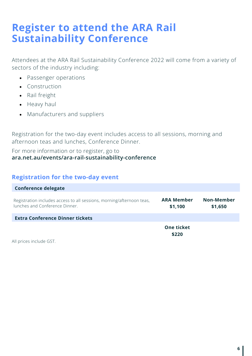# Register to attend the ARA Rail Sustainability Conference

Attendees at the ARA Rail Sustainability Conference 2022 will come from a variety of sectors of the industry including:

- • Passenger operations
- • Construction
- • Rail freight
- Heavy haul
- Manufacturers and suppliers

Registration for the two-day event includes access to all sessions, morning and afternoon teas and lunches, Conference Dinner.

#### For more information or to register, go to [ara.net.au/events/ara-rail-sustainability-conference](http://www.ara.net.au/events/ara-rail-sustainability-conference)

#### Registration for the two-day event

| <b>Conference delegate</b>                                                                              |                              |                       |
|---------------------------------------------------------------------------------------------------------|------------------------------|-----------------------|
| Registration includes access to all sessions, morning/afternoon teas,<br>lunches and Conference Dinner. | <b>ARA Member</b><br>\$1,100 | Non-Member<br>\$1,650 |
| <b>Extra Conference Dinner tickets</b>                                                                  |                              |                       |
| $\Delta H$ and $\Delta L$ and $\Delta L$ are all $\Delta L$ and $\Delta L$                              | <b>One ticket</b><br>\$220   |                       |

All prices include GST.